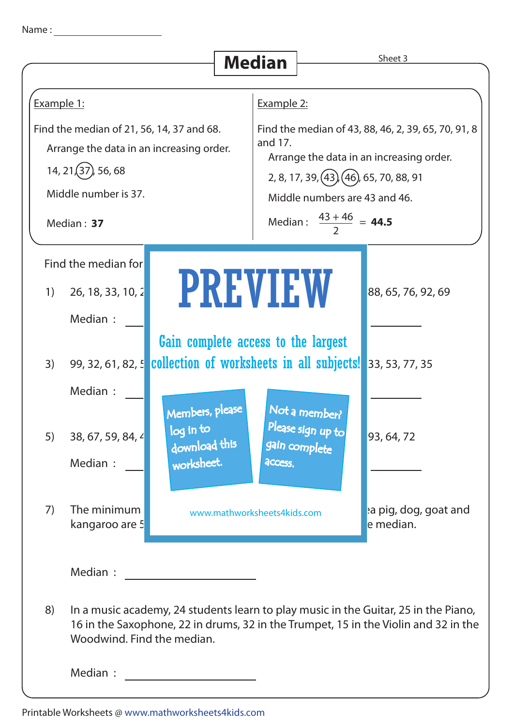|                                                                                                                                                        |                                                                                                                                                                  |                                                                                                    |  | <b>Median</b>                                                                                                                                                                                                                      |                                                     | Sheet 3                                                                                                                                                                    |
|--------------------------------------------------------------------------------------------------------------------------------------------------------|------------------------------------------------------------------------------------------------------------------------------------------------------------------|----------------------------------------------------------------------------------------------------|--|------------------------------------------------------------------------------------------------------------------------------------------------------------------------------------------------------------------------------------|-----------------------------------------------------|----------------------------------------------------------------------------------------------------------------------------------------------------------------------------|
|                                                                                                                                                        |                                                                                                                                                                  |                                                                                                    |  |                                                                                                                                                                                                                                    |                                                     |                                                                                                                                                                            |
| Example 1:                                                                                                                                             |                                                                                                                                                                  |                                                                                                    |  | Example 2:                                                                                                                                                                                                                         |                                                     |                                                                                                                                                                            |
| Find the median of 21, 56, 14, 37 and 68.<br>Arrange the data in an increasing order.<br>$14, 21(37)$ , 56, 68<br>Middle number is 37.<br>Median: $37$ |                                                                                                                                                                  |                                                                                                    |  | Find the median of 43, 88, 46, 2, 39, 65, 70, 91, 8<br>and 17.<br>Arrange the data in an increasing order.<br>2, 8, 17, 39, (43), (46), 65, 70, 88, 91<br>Middle numbers are 43 and 46.<br>Median: $\frac{43+46}{2}$ = <b>44.5</b> |                                                     |                                                                                                                                                                            |
| 1)<br>3)<br>5)                                                                                                                                         | Find the median for<br>26, 18, 33, 10, 2<br>Median :<br>99, 32, 61, 82, 5 collection of worksheets in all subjects!<br>Median :<br>38, 67, 59, 84, 4<br>Median : | Gain complete access to the largest<br>Members, please<br>log in to<br>download this<br>worksheet. |  | <b>PREVIEW</b><br>access.                                                                                                                                                                                                          | Not a member?<br>Please sign up to<br>gain complete | 88, 65, 76, 92, 69<br>33, 53, 77, 35<br>93, 64, 72                                                                                                                         |
| 7)                                                                                                                                                     | The minimum<br>kangaroo are 5                                                                                                                                    |                                                                                                    |  | www.mathworksheets4kids.com                                                                                                                                                                                                        |                                                     | a pig, dog, goat and<br>e median.                                                                                                                                          |
| 8)                                                                                                                                                     | Median :<br>Woodwind. Find the median.<br>Median :                                                                                                               |                                                                                                    |  |                                                                                                                                                                                                                                    |                                                     | In a music academy, 24 students learn to play music in the Guitar, 25 in the Piano,<br>16 in the Saxophone, 22 in drums, 32 in the Trumpet, 15 in the Violin and 32 in the |